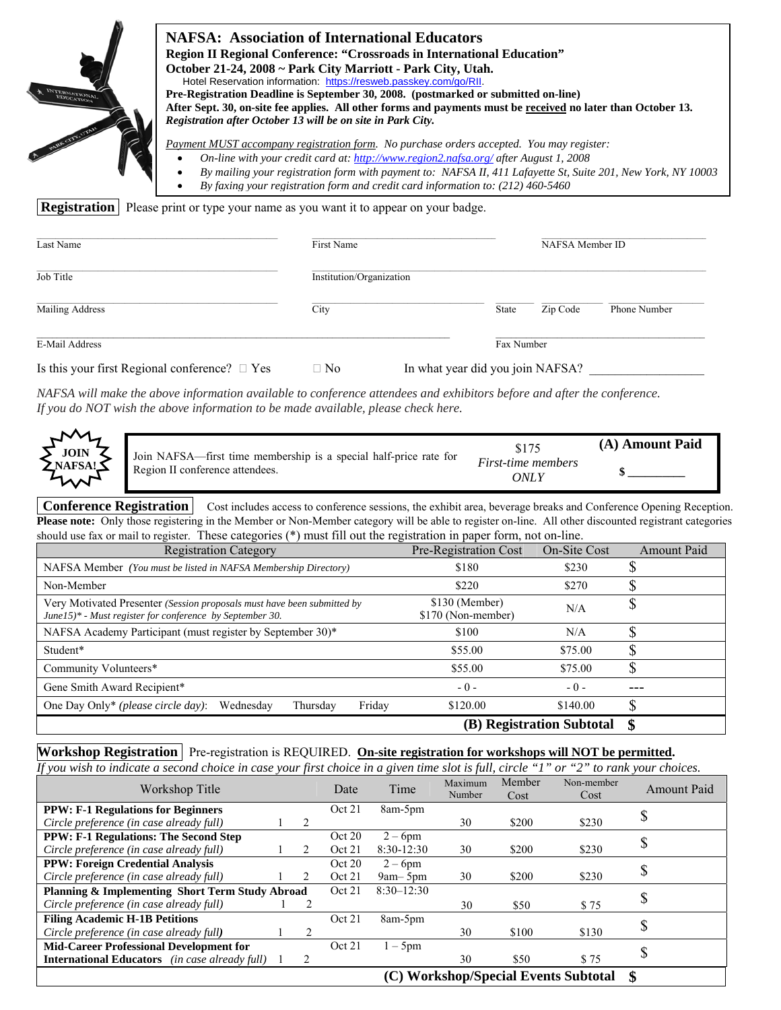| <b>Registration</b> | <b>NAFSA: Association of International Educators</b><br><b>Region II Regional Conference: "Crossroads in International Education"</b><br>October 21-24, 2008 ~ Park City Marriott - Park City, Utah.<br>Registration after October 13 will be on site in Park City.<br>Please print or type your name as you want it to appear on your badge. | Hotel Reservation information: https://resweb.passkey.com/go/RII.<br>By faxing your registration form and credit card information to: (212) 460-5460 | Pre-Registration Deadline is September 30, 2008. (postmarked or submitted on-line)<br>After Sept. 30, on-site fee applies. All other forms and payments must be received no later than October 13.<br>Payment MUST accompany registration form. No purchase orders accepted. You may register:<br>On-line with your credit card at: http://www.region2.nafsa.org/ after August 1, 2008<br>By mailing your registration form with payment to: NAFSA II, 411 Lafayette St, Suite 201, New York, NY 10003 |
|---------------------|-----------------------------------------------------------------------------------------------------------------------------------------------------------------------------------------------------------------------------------------------------------------------------------------------------------------------------------------------|------------------------------------------------------------------------------------------------------------------------------------------------------|--------------------------------------------------------------------------------------------------------------------------------------------------------------------------------------------------------------------------------------------------------------------------------------------------------------------------------------------------------------------------------------------------------------------------------------------------------------------------------------------------------|
| Last Name           |                                                                                                                                                                                                                                                                                                                                               | First Name                                                                                                                                           | NAFSA Member ID                                                                                                                                                                                                                                                                                                                                                                                                                                                                                        |
| Job Title           |                                                                                                                                                                                                                                                                                                                                               | Institution/Organization                                                                                                                             |                                                                                                                                                                                                                                                                                                                                                                                                                                                                                                        |

| Mailing Address                                    | City | Zip Code<br>Phone Number<br>State |
|----------------------------------------------------|------|-----------------------------------|
| E-Mail Address                                     |      | Fax Number                        |
| Is this your first Regional conference? $\Box$ Yes | □ No | In what year did you join NAFSA?  |

*NAFSA will make the above information available to conference attendees and exhibitors before and after the conference. If you do NOT wish the above information to be made available, please check here.* 

| ᄾᄼ<br><b>JOIN</b> | Join NAFSA—first time membership is a special half-price rate for | \$175                      | (A) Amount Paid |
|-------------------|-------------------------------------------------------------------|----------------------------|-----------------|
| NAFSA!            | Region II conference attendees.                                   | First-time members<br>ONL. |                 |

**Conference Registration** | Cost includes access to conference sessions, the exhibit area, beverage breaks and Conference Opening Reception. **Please note:**Only those registering in the Member or Non-Member category will be able to register on-line. All other discounted registrant categories should use fax or mail to register. These categories (\*) must fill out the registration in paper form, not on-line.

| <b>Registration Category</b>                                                                                                        | Pre-Registration Cost                | On-Site Cost              | <b>Amount Paid</b> |
|-------------------------------------------------------------------------------------------------------------------------------------|--------------------------------------|---------------------------|--------------------|
| NAFSA Member (You must be listed in NAFSA Membership Directory)                                                                     | \$180                                | \$230                     |                    |
| Non-Member                                                                                                                          | \$220                                | \$270                     | ٨D                 |
| Very Motivated Presenter (Session proposals must have been submitted by<br>June15)* - Must register for conference by September 30. | \$130 (Member)<br>\$170 (Non-member) | N/A                       |                    |
| NAFSA Academy Participant (must register by September 30)*                                                                          | \$100                                | N/A                       |                    |
| Student*                                                                                                                            | \$55.00                              | \$75.00                   |                    |
| Community Volunteers*                                                                                                               | \$55.00                              | \$75.00                   | S                  |
| Gene Smith Award Recipient*                                                                                                         | $-0-$                                | $-0-$                     |                    |
| One Day Only* (please circle day):<br>Friday<br>Wednesday<br>Thursday                                                               | \$120.00                             | \$140.00                  | ⊕<br>J.            |
|                                                                                                                                     |                                      | (B) Registration Subtotal |                    |

#### **Workshop Registration** Pre-registration is REQUIRED. **On-site registration for workshops will NOT be permitted.**  *If you wish to indicate a second choice in case your first choice in a given time slot is full, circle "1" or "2" to rank your choices.*

| 1] you wish to indicate a second choice in case your first choice in a given time stot is full, circle |  |                |                |              |                   |                | or                                   | 2 to rank your choices. |
|--------------------------------------------------------------------------------------------------------|--|----------------|----------------|--------------|-------------------|----------------|--------------------------------------|-------------------------|
| Workshop Title                                                                                         |  |                | Date           | Time         | Maximum<br>Number | Member<br>Cost | Non-member<br>Cost                   | <b>Amount Paid</b>      |
| <b>PPW: F-1 Regulations for Beginners</b>                                                              |  |                | Oct 21         | 8am-5pm      |                   |                |                                      |                         |
| Circle preference (in case already full)                                                               |  | 2              |                |              | 30                | \$200          | \$230                                |                         |
| <b>PPW: F-1 Regulations: The Second Step</b>                                                           |  |                | Oct 20         | $2-6$ pm     |                   |                |                                      |                         |
| Circle preference (in case already full)                                                               |  | 2.             | Oct 21         | $8:30-12:30$ | 30                | \$200          | \$230                                | ۵.                      |
| <b>PPW: Foreign Credential Analysis</b>                                                                |  |                | Oct 20         | $2-6$ pm     |                   |                |                                      | \$                      |
| Circle preference (in case already full)                                                               |  | 2              | Oct 21         | $9am - 5pm$  | 30                | \$200          | \$230                                |                         |
| Planning & Implementing Short Term Study Abroad                                                        |  | Oct 21         | $8:30 - 12:30$ |              |                   |                |                                      |                         |
| Circle preference (in case already full)                                                               |  |                |                |              | 30                | \$50           | \$75                                 | \$                      |
| <b>Filing Academic H-1B Petitions</b>                                                                  |  |                | Oct 21         | 8am-5pm      |                   |                |                                      |                         |
| Circle preference (in case already full)                                                               |  | $\overline{c}$ |                |              | 30                | \$100          | \$130                                |                         |
| <b>Mid-Career Professional Development for</b>                                                         |  |                | Oct 21         | $-5$ pm      |                   |                |                                      |                         |
| <b>International Educators</b> (in case already full)                                                  |  |                |                |              | 30                | \$50           | \$75                                 |                         |
|                                                                                                        |  |                |                |              |                   |                | (C) Workshop/Special Events Subtotal |                         |